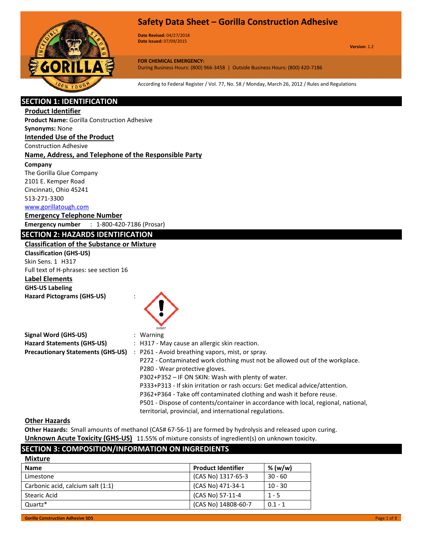

**Date Revised:** 04/27/2018 **Date Issued:** 07/09/2015

**Version:** 1.2

**FOR CHEMICAL EMERGENCY:** During Business Hours: (800) 966-3458 | Outside Business Hours: (800) 420-7186

According to Federal Register / Vol. 77, No. 58 / Monday, March 26, 2012 / Rules and Regulations

# **SECTION 1: IDENTIFICATION**

#### **Product Identifier**

**Product Name:** Gorilla Construction Adhesive

#### **Synonyms:** None

**Intended Use of the Product**

Construction Adhesive

#### **Name, Address, and Telephone of the Responsible Party**

#### **Company**

The Gorilla Glue Company 2101 E. Kemper Road Cincinnati, Ohio 45241 513-271-3300

#### www.gorillatough.com

**Emergency Telephone Number Emergency number** : 1-800-420-7186 (Prosar)

#### **SECTION 2: HAZARDS IDENTIFICATION**

#### **Classification of the Substance or Mixture**

**Classification (GHS-US)** Skin Sens. 1 H317 Full text of H-phrases: see section 16 **Label Elements GHS-US Labeling Hazard Pictograms (GHS-US)** :



| <b>Signal Word (GHS-US)</b>              | $:$ Warning                                                                        |
|------------------------------------------|------------------------------------------------------------------------------------|
| <b>Hazard Statements (GHS-US)</b>        | : H317 - May cause an allergic skin reaction.                                      |
| <b>Precautionary Statements (GHS-US)</b> | : P261 - Avoid breathing vapors, mist, or spray.                                   |
|                                          | P272 - Contaminated work clothing must not be allowed out of the workplace.        |
|                                          | P280 - Wear protective gloves.                                                     |
|                                          | P302+P352 - IF ON SKIN: Wash with plenty of water.                                 |
|                                          | P333+P313 - If skin irritation or rash occurs: Get medical advice/attention.       |
|                                          | P362+P364 - Take off contaminated clothing and wash it before reuse.               |
|                                          | P501 - Dispose of contents/container in accordance with local, regional, national, |
|                                          | territorial, provincial, and international regulations.                            |

#### **Other Hazards**

**Mixture**

**Other Hazards:** Small amounts of methanol (CAS# 67-56-1) are formed by hydrolysis and released upon curing. **Unknown Acute Toxicity (GHS-US)** 11.55% of mixture consists of ingredient(s) on unknown toxicity.

# **SECTION 3: COMPOSITION/INFORMATION ON INGREDIENTS**

| <b>Name</b>                       | <b>Product Identifier</b> | % (w/w)   |
|-----------------------------------|---------------------------|-----------|
| Limestone                         | (CAS No) 1317-65-3        | $30 - 60$ |
| Carbonic acid, calcium salt (1:1) | (CAS No) 471-34-1         | $10 - 30$ |
| <b>Stearic Acid</b>               | (CAS No) 57-11-4          | $1 - 5$   |
| Quartz*                           | (CAS No) 14808-60-7       | $0.1 - 1$ |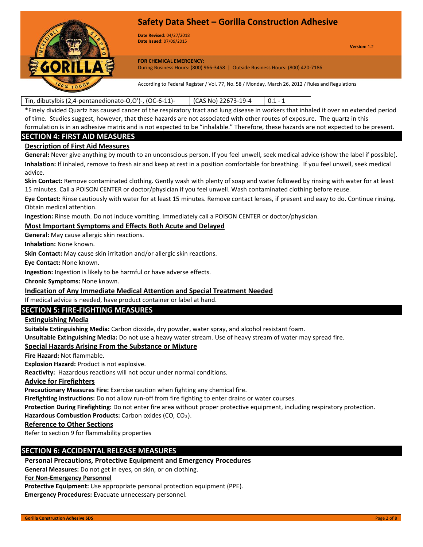

**Date Revised:** 04/27/2018 **Date Issued:** 07/09/2015

**Version:** 1.2

**FOR CHEMICAL EMERGENCY:**

During Business Hours: (800) 966-3458 | Outside Business Hours: (800) 420-7186

According to Federal Register / Vol. 77, No. 58 / Monday, March 26, 2012 / Rules and Regulations

### Tin, dibutylbis (2,4-pentanedionato-O,O')-, (OC-6-11)- (CAS No) 22673-19-4 0.1 - 1

\*Finely divided Quartz has caused cancer of the respiratory tract and lung disease in workers that inhaled it over an extended period of time. Studies suggest, however, that these hazards are not associated with other routes of exposure. The quartz in this formulation is in an adhesive matrix and is not expected to be "inhalable." Therefore, these hazards are not expected to be present.

### **SECTION 4: FIRST AID MEASURES**

#### **Description of First Aid Measures**

**General:** Never give anything by mouth to an unconscious person. If you feel unwell, seek medical advice (show the label if possible). **Inhalation:** If inhaled, remove to fresh air and keep at rest in a position comfortable for breathing. If you feel unwell, seek medical advice.

**Skin Contact:** Remove contaminated clothing. Gently wash with plenty of soap and water followed by rinsing with water for at least 15 minutes. Call a POISON CENTER or doctor/physician if you feel unwell. Wash contaminated clothing before reuse.

**Eye Contact:** Rinse cautiously with water for at least 15 minutes. Remove contact lenses, if present and easy to do. Continue rinsing. Obtain medical attention.

**Ingestion:** Rinse mouth. Do not induce vomiting. Immediately call a POISON CENTER or doctor/physician.

#### **Most Important Symptoms and Effects Both Acute and Delayed**

**General:** May cause allergic skin reactions.

**Inhalation:** None known.

**Skin Contact:** May cause skin irritation and/or allergic skin reactions.

**Eye Contact:** None known.

**Ingestion:** Ingestion is likely to be harmful or have adverse effects.

**Chronic Symptoms:** None known.

#### **Indication of Any Immediate Medical Attention and Special Treatment Needed**

If medical advice is needed, have product container or label at hand.

# **SECTION 5: FIRE-FIGHTING MEASURES**

#### **Extinguishing Media**

**Suitable Extinguishing Media:** Carbon dioxide, dry powder, water spray, and alcohol resistant foam.

**Unsuitable Extinguishing Media:** Do not use a heavy water stream. Use of heavy stream of water may spread fire.

#### **Special Hazards Arising From the Substance or Mixture**

**Fire Hazard:** Not flammable.

**Explosion Hazard:** Product is not explosive.

**Reactivity:** Hazardous reactions will not occur under normal conditions.

#### **Advice for Firefighters**

**Precautionary Measures Fire:** Exercise caution when fighting any chemical fire.

**Firefighting Instructions:** Do not allow run-off from fire fighting to enter drains or water courses.

**Protection During Firefighting:** Do not enter fire area without proper protective equipment, including respiratory protection.

#### Hazardous Combustion Products: Carbon oxides (CO, CO<sub>2</sub>).

#### **Reference to Other Sections**

Refer to section 9 for flammability properties

### **SECTION 6: ACCIDENTAL RELEASE MEASURES**

# **Personal Precautions, Protective Equipment and Emergency Procedures**

**General Measures:** Do not get in eyes, on skin, or on clothing.

### **For Non-Emergency Personnel**

**Protective Equipment:** Use appropriate personal protection equipment (PPE).

**Emergency Procedures:** Evacuate unnecessary personnel.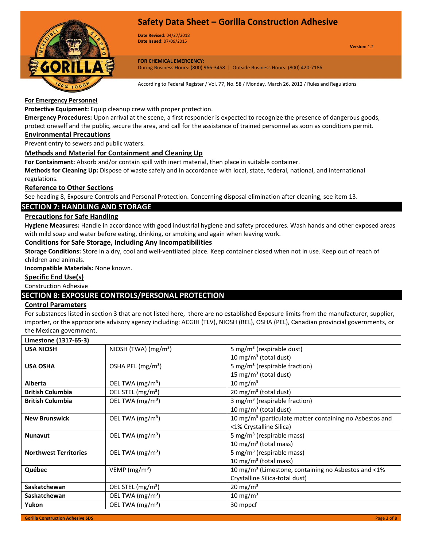

**Date Revised:** 04/27/2018 **Date Issued:** 07/09/2015

**Version:** 1.2

**FOR CHEMICAL EMERGENCY:** During Business Hours: (800) 966-3458 | Outside Business Hours: (800) 420-7186

According to Federal Register / Vol. 77, No. 58 / Monday, March 26, 2012 / Rules and Regulations

#### **For Emergency Personnel**

**Protective Equipment:** Equip cleanup crew with proper protection.

**Emergency Procedures:** Upon arrival at the scene, a first responder is expected to recognize the presence of dangerous goods, protect oneself and the public, secure the area, and call for the assistance of trained personnel as soon as conditions permit.

#### **Environmental Precautions**

Prevent entry to sewers and public waters.

#### **Methods and Material for Containment and Cleaning Up**

**For Containment:** Absorb and/or contain spill with inert material, then place in suitable container.

**Methods for Cleaning Up:** Dispose of waste safely and in accordance with local, state, federal, national, and international regulations.

#### **Reference to Other Sections**

See heading 8, Exposure Controls and Personal Protection. Concerning disposal elimination after cleaning, see item 13.

# **SECTION 7: HANDLING AND STORAGE**

#### **Precautions for Safe Handling**

**Hygiene Measures:** Handle in accordance with good industrial hygiene and safety procedures. Wash hands and other exposed areas with mild soap and water before eating, drinking, or smoking and again when leaving work.

#### **Conditions for Safe Storage, Including Any Incompatibilities**

**Storage Conditions:** Store in a dry, cool and well-ventilated place. Keep container closed when not in use. Keep out of reach of children and animals.

**Incompatible Materials:** None known.

### **Specific End Use(s)**

Construction Adhesive

### **SECTION 8: EXPOSURE CONTROLS/PERSONAL PROTECTION**

#### **Control Parameters**

For substances listed in section 3 that are not listed here, there are no established Exposure limits from the manufacturer, supplier, importer, or the appropriate advisory agency including: ACGIH (TLV), NIOSH (REL), OSHA (PEL), Canadian provincial governments, or the Mexican government.

| Limestone (1317-65-3)                                                                                |                               |                                                                     |
|------------------------------------------------------------------------------------------------------|-------------------------------|---------------------------------------------------------------------|
| <b>USA NIOSH</b>                                                                                     | NIOSH (TWA) $(mg/m3)$         | 5 mg/m <sup>3</sup> (respirable dust)                               |
|                                                                                                      |                               | 10 mg/m <sup>3</sup> (total dust)                                   |
| <b>USA OSHA</b>                                                                                      | OSHA PEL (mg/m <sup>3</sup> ) | 5 mg/m <sup>3</sup> (respirable fraction)                           |
|                                                                                                      |                               | 15 mg/m <sup>3</sup> (total dust)                                   |
| <b>Alberta</b>                                                                                       | OEL TWA (mg/m <sup>3</sup> )  | 10 mg/m <sup>3</sup>                                                |
| <b>British Columbia</b>                                                                              | OEL STEL (mg/m <sup>3</sup> ) | 20 mg/m <sup>3</sup> (total dust)                                   |
| OEL TWA (mg/m <sup>3</sup> )<br>3 mg/m <sup>3</sup> (respirable fraction)<br><b>British Columbia</b> |                               |                                                                     |
|                                                                                                      |                               | 10 mg/m <sup>3</sup> (total dust)                                   |
| <b>New Brunswick</b>                                                                                 | OEL TWA (mg/m <sup>3</sup> )  | 10 mg/m <sup>3</sup> (particulate matter containing no Asbestos and |
|                                                                                                      |                               | <1% Crystalline Silica)                                             |
| <b>Nunavut</b>                                                                                       | OEL TWA (mg/m <sup>3</sup> )  | 5 mg/m <sup>3</sup> (respirable mass)                               |
|                                                                                                      |                               | 10 mg/m <sup>3</sup> (total mass)                                   |
| <b>Northwest Territories</b>                                                                         | OEL TWA (mg/m <sup>3</sup> )  | 5 mg/m <sup>3</sup> (respirable mass)                               |
|                                                                                                      |                               | 10 mg/m <sup>3</sup> (total mass)                                   |
| Québec                                                                                               | VEMP ( $mg/m3$ )              | 10 mg/m <sup>3</sup> (Limestone, containing no Asbestos and <1%     |
|                                                                                                      |                               | Crystalline Silica-total dust)                                      |
| Saskatchewan                                                                                         | OEL STEL (mg/m <sup>3</sup> ) | $20 \text{ mg/m}^3$                                                 |
| Saskatchewan                                                                                         | OEL TWA (mg/m <sup>3</sup> )  | 10 mg/m $3$                                                         |
| Yukon                                                                                                | OEL TWA (mg/m <sup>3</sup> )  | 30 mppcf                                                            |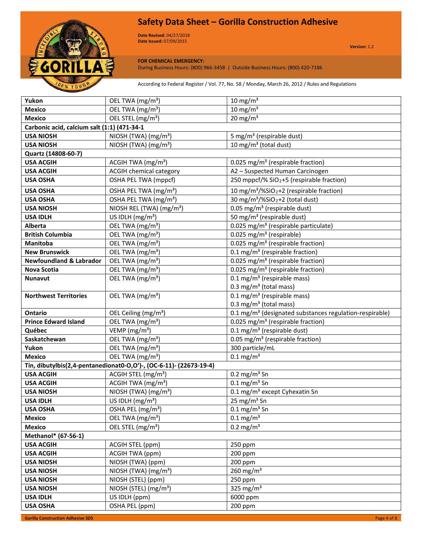

**Date Revised:** 04/27/2018 **Date Issued:** 07/09/2015

**Version:** 1.2

### **FOR CHEMICAL EMERGENCY:**

During Business Hours: (800) 966-3458 | Outside Business Hours: (800) 420-7186

According to Federal Register / Vol. 77, No. 58 / Monday, March 26, 2012 / Rules and Regulations

| Yukon                                       | OEL TWA (mg/m <sup>3</sup> )                                       | $10 \text{ mg/m}^3$                                                                       |
|---------------------------------------------|--------------------------------------------------------------------|-------------------------------------------------------------------------------------------|
| <b>Mexico</b>                               | OEL TWA (mg/m <sup>3</sup> )                                       | $10 \text{ mg/m}^3$                                                                       |
| <b>Mexico</b>                               | OEL STEL (mg/m <sup>3</sup> )                                      | $20 \text{ mg/m}^3$                                                                       |
| Carbonic acid, calcium salt (1:1) (471-34-1 |                                                                    |                                                                                           |
| <b>USA NIOSH</b>                            | NIOSH (TWA) (mg/m <sup>3</sup> )                                   | 5 mg/m <sup>3</sup> (respirable dust)                                                     |
| <b>USA NIOSH</b>                            | NIOSH (TWA) $(mg/m3)$                                              | 10 mg/m <sup>3</sup> (total dust)                                                         |
| Quartz (14808-60-7)                         |                                                                    |                                                                                           |
| <b>USA ACGIH</b>                            | ACGIH TWA (mg/m <sup>3</sup> )                                     | 0.025 mg/m <sup>3</sup> (respirable fraction)                                             |
| <b>USA ACGIH</b>                            | <b>ACGIH chemical category</b>                                     | A2 - Suspected Human Carcinogen                                                           |
| <b>USA OSHA</b>                             | OSHA PEL TWA (mppcf)                                               | 250 mppcf/% SiO <sub>2</sub> +5 (respirable fraction)                                     |
| <b>USA OSHA</b>                             | OSHA PEL TWA (mg/m <sup>3</sup> )                                  | 10 mg/m <sup>3</sup> /%SiO <sub>2</sub> +2 (respirable fraction)                          |
| <b>USA OSHA</b>                             | OSHA PEL TWA (mg/m <sup>3</sup> )                                  | 30 mg/m <sup>3</sup> /%SiO <sub>2</sub> +2 (total dust)                                   |
| <b>USA NIOSH</b>                            | NIOSH REL (TWA) (mg/m <sup>3</sup> )                               | 0.05 mg/m <sup>3</sup> (respirable dust)                                                  |
| <b>USA IDLH</b>                             | US IDLH $(mg/m3)$                                                  | 50 mg/m <sup>3</sup> (respirable dust)                                                    |
| Alberta                                     | OEL TWA (mg/m <sup>3</sup> )                                       | 0.025 mg/m <sup>3</sup> (respirable particulate)                                          |
| <b>British Columbia</b>                     | OEL TWA (mg/m <sup>3</sup> )                                       | $0.025$ mg/m <sup>3</sup> (respirable)                                                    |
| <b>Manitoba</b>                             | OEL TWA (mg/m <sup>3</sup> )                                       | 0.025 mg/m <sup>3</sup> (respirable fraction)                                             |
| <b>New Brunswick</b>                        | OEL TWA (mg/m <sup>3</sup> )                                       | 0.1 mg/m <sup>3</sup> (respirable fraction)                                               |
| <b>Newfoundland &amp; Labrador</b>          | OEL TWA (mg/m <sup>3</sup> )                                       | 0.025 mg/m <sup>3</sup> (respirable fraction)                                             |
| <b>Nova Scotia</b>                          | OEL TWA (mg/m <sup>3</sup> )                                       | 0.025 mg/m <sup>3</sup> (respirable fraction)                                             |
| Nunavut                                     | OEL TWA (mg/m <sup>3</sup> )                                       | $0.1 \text{ mg/m}^3$ (respirable mass)                                                    |
|                                             |                                                                    | 0.3 mg/m <sup>3</sup> (total mass)                                                        |
| <b>Northwest Territories</b>                | OEL TWA (mg/m <sup>3</sup> )                                       | $0.1 \text{ mg/m}^3$ (respirable mass)                                                    |
|                                             |                                                                    | $0.3 \text{ mg/m}^3$ (total mass)                                                         |
| <b>Ontario</b>                              | OEL Ceiling (mg/m <sup>3</sup> )                                   | 0.1 mg/m <sup>3</sup> (designated substances regulation-respirable)                       |
| <b>Prince Edward Island</b><br>Québec       | OEL TWA (mg/m <sup>3</sup> )                                       | 0.025 mg/m <sup>3</sup> (respirable fraction)                                             |
|                                             | VEMP (mg/m <sup>3</sup> )                                          | $0.1$ mg/m <sup>3</sup> (respirable dust)<br>0.05 mg/m <sup>3</sup> (respirable fraction) |
| Saskatchewan<br>Yukon                       | OEL TWA (mg/m <sup>3</sup> )<br>OEL TWA (mg/m <sup>3</sup> )       | 300 particle/mL                                                                           |
| <b>Mexico</b>                               | OEL TWA (mg/m <sup>3</sup> )                                       | $0.1 \text{ mg/m}^3$                                                                      |
|                                             | Tin, dibutylbis(2,4-pentanedionat0-O,O')-, (OC-6-11)- (22673-19-4) |                                                                                           |
| <b>USA ACGIH</b>                            | ACGIH STEL (mg/m <sup>3</sup> )                                    | $0.2 \text{ mg/m}^3$ Sn                                                                   |
| <b>USA ACGIH</b>                            | ACGIH TWA (mg/m <sup>3</sup> )                                     | $0.1 \text{ mg/m}^3$ Sn                                                                   |
| <b>USA NIOSH</b>                            | NIOSH (TWA) (mg/m <sup>3</sup> )                                   | 0.1 mg/m <sup>3</sup> except Cyhexatin Sn                                                 |
| <b>USA IDLH</b>                             | US IDLH (mg/m <sup>3</sup> )                                       | 25 mg/m <sup>3</sup> Sn                                                                   |
| <b>USA OSHA</b>                             | OSHA PEL (mg/m <sup>3</sup> )                                      | $0.1 \text{ mg/m}^3$ Sn                                                                   |
| <b>Mexico</b>                               | OEL TWA (mg/m <sup>3</sup> )                                       | $0.1 \text{ mg/m}^3$                                                                      |
| <b>Mexico</b>                               | OEL STEL (mg/m <sup>3</sup> )                                      | $0.2 \text{ mg/m}^3$                                                                      |
| Methanol* (67-56-1)                         |                                                                    |                                                                                           |
| <b>USA ACGIH</b>                            | ACGIH STEL (ppm)                                                   | 250 ppm                                                                                   |
| <b>USA ACGIH</b>                            | ACGIH TWA (ppm)                                                    | 200 ppm                                                                                   |
| <b>USA NIOSH</b>                            | NIOSH (TWA) (ppm)                                                  | 200 ppm                                                                                   |
| <b>USA NIOSH</b>                            | $NIOSH$ (TWA) (mg/m <sup>3</sup> )                                 | 260 mg/m <sup>3</sup>                                                                     |
| <b>USA NIOSH</b>                            | NIOSH (STEL) (ppm)                                                 | 250 ppm                                                                                   |
| <b>USA NIOSH</b>                            | NIOSH (STEL) (mg/m <sup>3</sup> )                                  | 325 mg/m $3$                                                                              |
| <b>USA IDLH</b>                             | US IDLH (ppm)                                                      | 6000 ppm                                                                                  |
| <b>USA OSHA</b>                             | OSHA PEL (ppm)                                                     | 200 ppm                                                                                   |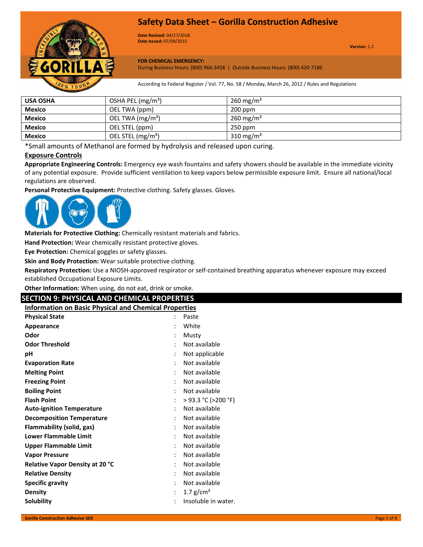

**Date Revised:** 04/27/2018 **Date Issued:** 07/09/2015

**Version:** 1.2

**FOR CHEMICAL EMERGENCY:**

During Business Hours: (800) 966-3458 | Outside Business Hours: (800) 420-7186

According to Federal Register / Vol. 77, No. 58 / Monday, March 26, 2012 / Rules and Regulations

| <b>USA OSHA</b> | OSHA PEL $(mg/m3)$            | $260 \,\mathrm{mg/m^3}$ |
|-----------------|-------------------------------|-------------------------|
| <b>Mexico</b>   | OEL TWA (ppm)                 | $200$ ppm               |
| <b>Mexico</b>   | OEL TWA $(mg/m3)$             | $260 \,\mathrm{mg/m^3}$ |
| <b>Mexico</b>   | OEL STEL (ppm)                | $250$ ppm               |
| <b>Mexico</b>   | OEL STEL (mg/m <sup>3</sup> ) | $310 \text{ mg/m}^3$    |

\*Small amounts of Methanol are formed by hydrolysis and released upon curing.

# **Exposure Controls**

**Appropriate Engineering Controls:** Emergency eye wash fountains and safety showers should be available in the immediate vicinity of any potential exposure. Provide sufficient ventilation to keep vapors below permissible exposure limit. Ensure all national/local regulations are observed.

**Personal Protective Equipment:** Protective clothing. Safety glasses. Gloves.



**Materials for Protective Clothing:** Chemically resistant materials and fabrics.

**Hand Protection:** Wear chemically resistant protective gloves.

**Eye Protection:** Chemical goggles or safety glasses.

**Skin and Body Protection:** Wear suitable protective clothing.

**Respiratory Protection:** Use a NIOSH-approved respirator or self-contained breathing apparatus whenever exposure may exceed established Occupational Exposure Limits.

**Other Information:** When using, do not eat, drink or smoke.

# **SECTION 9: PHYSICAL AND CHEMICAL PROPERTIES**

**Information on Basic Physical and Chemical Properties**

| <b>Physical State</b>            |                      | Paste                     |
|----------------------------------|----------------------|---------------------------|
| Appearance                       |                      | White                     |
| Odor                             |                      | Musty                     |
| <b>Odor Threshold</b>            | $\ddot{\phantom{0}}$ | Not available             |
| рH                               |                      | Not applicable            |
| <b>Evaporation Rate</b>          |                      | Not available             |
| <b>Melting Point</b>             |                      | Not available             |
| <b>Freezing Point</b>            |                      | Not available             |
| <b>Boiling Point</b>             |                      | Not available             |
| <b>Flash Point</b>               |                      | $>$ 93.3 °C ( $>$ 200 °F) |
| <b>Auto-ignition Temperature</b> |                      | Not available             |
| <b>Decomposition Temperature</b> |                      | Not available             |
| Flammability (solid, gas)        | $\ddot{\phantom{0}}$ | Not available             |
| <b>Lower Flammable Limit</b>     |                      | Not available             |
| <b>Upper Flammable Limit</b>     |                      | Not available             |
| <b>Vapor Pressure</b>            |                      | Not available             |
| Relative Vapor Density at 20 °C  |                      | Not available             |
| <b>Relative Density</b>          |                      | Not available             |
| <b>Specific gravity</b>          |                      | Not available             |
| <b>Density</b>                   | $\ddot{\cdot}$       | 1.7 $g/cm^{3}$            |
| Solubility                       |                      | Insoluble in water.       |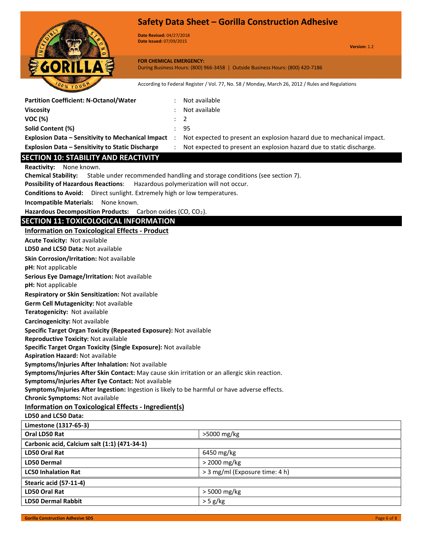

**Date Revised:** 04/27/2018 **Date Issued:** 07/09/2015

**Version:** 1.2

#### **FOR CHEMICAL EMERGENCY:** During Business Hours: (800) 966-3458 | Outside Business Hours: (800) 420-7186

According to Federal Register / Vol. 77, No. 58 / Monday, March 26, 2012 / Rules and Regulations

| <b>Partition Coefficient: N-Octanol/Water</b>                                                                                                      | Not available                                                             |  |  |
|----------------------------------------------------------------------------------------------------------------------------------------------------|---------------------------------------------------------------------------|--|--|
| <b>Viscosity</b>                                                                                                                                   | Not available                                                             |  |  |
| <b>VOC (%)</b>                                                                                                                                     | 2                                                                         |  |  |
| Solid Content (%)                                                                                                                                  | 95                                                                        |  |  |
| <b>Explosion Data - Sensitivity to Mechanical Impact</b><br>$\cdot$ :                                                                              | Not expected to present an explosion hazard due to mechanical impact.     |  |  |
| <b>Explosion Data - Sensitivity to Static Discharge</b><br>$\ddot{\phantom{a}}$                                                                    | Not expected to present an explosion hazard due to static discharge.      |  |  |
| <b>SECTION 10: STABILITY AND REACTIVITY</b>                                                                                                        |                                                                           |  |  |
| Reactivity: None known.                                                                                                                            |                                                                           |  |  |
| <b>Chemical Stability:</b>                                                                                                                         | Stable under recommended handling and storage conditions (see section 7). |  |  |
| <b>Possibility of Hazardous Reactions:</b>                                                                                                         | Hazardous polymerization will not occur.                                  |  |  |
| Conditions to Avoid: Direct sunlight. Extremely high or low temperatures.                                                                          |                                                                           |  |  |
| Incompatible Materials: None known.                                                                                                                |                                                                           |  |  |
| Hazardous Decomposition Products: Carbon oxides (CO, CO <sub>2</sub> ).                                                                            |                                                                           |  |  |
| <b>SECTION 11: TOXICOLOGICAL INFORMATION</b>                                                                                                       |                                                                           |  |  |
| <b>Information on Toxicological Effects - Product</b>                                                                                              |                                                                           |  |  |
| <b>Acute Toxicity: Not available</b>                                                                                                               |                                                                           |  |  |
| LD50 and LC50 Data: Not available                                                                                                                  |                                                                           |  |  |
| Skin Corrosion/Irritation: Not available                                                                                                           |                                                                           |  |  |
| pH: Not applicable                                                                                                                                 |                                                                           |  |  |
| Serious Eye Damage/Irritation: Not available                                                                                                       |                                                                           |  |  |
| pH: Not applicable                                                                                                                                 |                                                                           |  |  |
| Respiratory or Skin Sensitization: Not available                                                                                                   |                                                                           |  |  |
| Germ Cell Mutagenicity: Not available                                                                                                              |                                                                           |  |  |
| Teratogenicity: Not available                                                                                                                      |                                                                           |  |  |
| Carcinogenicity: Not available                                                                                                                     |                                                                           |  |  |
| Specific Target Organ Toxicity (Repeated Exposure): Not available                                                                                  |                                                                           |  |  |
| Reproductive Toxicity: Not available                                                                                                               |                                                                           |  |  |
| Specific Target Organ Toxicity (Single Exposure): Not available                                                                                    |                                                                           |  |  |
| <b>Aspiration Hazard: Not available</b>                                                                                                            |                                                                           |  |  |
| Symptoms/Injuries After Inhalation: Not available<br>Symptoms/Injuries After Skin Contact: May cause skin irritation or an allergic skin reaction. |                                                                           |  |  |
| Symptoms/Injuries After Eye Contact: Not available                                                                                                 |                                                                           |  |  |
| Symptoms/Injuries After Ingestion: Ingestion is likely to be harmful or have adverse effects.                                                      |                                                                           |  |  |
| <b>Chronic Symptoms: Not available</b>                                                                                                             |                                                                           |  |  |
| <b>Information on Toxicological Effects - Ingredient(s)</b>                                                                                        |                                                                           |  |  |
| LD50 and LC50 Data:                                                                                                                                |                                                                           |  |  |
| Limestone (1317-65-3)                                                                                                                              |                                                                           |  |  |
| Oral LD50 Rat                                                                                                                                      | >5000 mg/kg                                                               |  |  |
| Carbonic acid, Calcium salt (1:1) (471-34-1)                                                                                                       |                                                                           |  |  |
| LD50 Oral Rat                                                                                                                                      | 6450 mg/kg                                                                |  |  |
| <b>LD50 Dermal</b>                                                                                                                                 | > 2000 mg/kg                                                              |  |  |
| <b>LC50 Inhalation Rat</b>                                                                                                                         | > 3 mg/ml (Exposure time: 4 h)                                            |  |  |
| Stearic acid (57-11-4)                                                                                                                             |                                                                           |  |  |
| LD50 Oral Rat                                                                                                                                      | > 5000 mg/kg                                                              |  |  |
| <b>LD50 Dermal Rabbit</b>                                                                                                                          | $>$ 5 g/kg                                                                |  |  |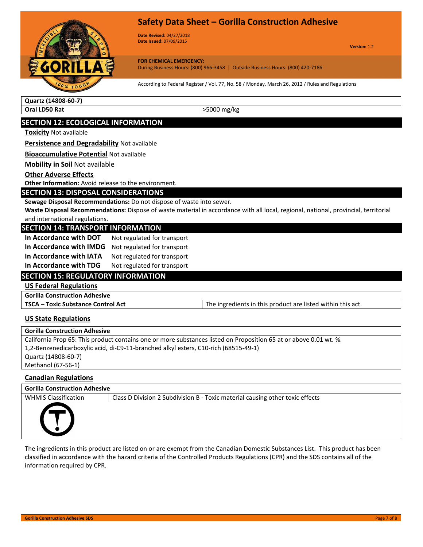



**Date Revised:** 04/27/2018 **Date Issued:** 07/09/2015

**Version:** 1.2

**FOR CHEMICAL EMERGENCY:**

During Business Hours: (800) 966-3458 | Outside Business Hours: (800) 420-7186

According to Federal Register / Vol. 77, No. 58 / Monday, March 26, 2012 / Rules and Regulations

**Quartz (14808-60-7) Oral LD50 Rat**  $|$  >5000 mg/kg

# **SECTION 12: ECOLOGICAL INFORMATION**

**Toxicity** Not available

**Persistence and Degradability** Not available

**Bioaccumulative Potential** Not available

**Mobility in Soil** Not available

#### **Other Adverse Effects**

**Other Information:** Avoid release to the environment.

#### **SECTION 13: DISPOSAL CONSIDERATIONS**

**Sewage Disposal Recommendations:** Do not dispose of waste into sewer.

**Waste Disposal Recommendations:** Dispose of waste material in accordance with all local, regional, national, provincial, territorial and international regulations.

#### **SECTION 14: TRANSPORT INFORMATION**

| In Accordance with DOT  | Not regulated for transport |
|-------------------------|-----------------------------|
| In Accordance with IMDG | Not regulated for transport |
| In Accordance with IATA | Not regulated for transport |
| In Accordance with TDG  | Not regulated for transport |

### **SECTION 15: REGULATORY INFORMATION**

**US Federal Regulations**

**Gorilla Construction Adhesive**

**TSCA – Toxic Substance Control Act** The ingredients in this product are listed within this act.

#### **US State Regulations**

| <b>Gorilla Construction Adhesive</b>                                                                              |
|-------------------------------------------------------------------------------------------------------------------|
| California Prop 65: This product contains one or more substances listed on Proposition 65 at or above 0.01 wt. %. |
| 1.2-Benzenedicarboxylic acid, di-C9-11-branched alkyl esters, C10-rich (68515-49-1)                               |
| Quartz (14808-60-7)                                                                                               |
| Methanol (67-56-1)                                                                                                |

#### **Canadian Regulations**

| Gorilla Construction Adhesive |
|-------------------------------|
|                               |

WHMIS Classification | Class D Division 2 Subdivision B - Toxic material causing other toxic effects



The ingredients in this product are listed on or are exempt from the Canadian Domestic Substances List. This product has been classified in accordance with the hazard criteria of the Controlled Products Regulations (CPR) and the SDS contains all of the information required by CPR.